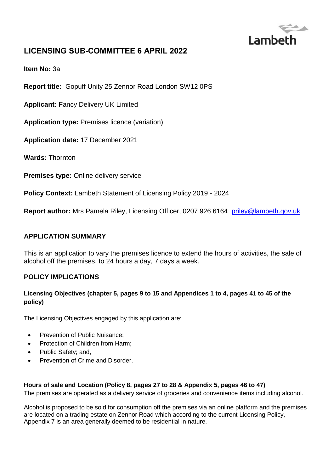

# **LICENSING SUB-COMMITTEE 6 APRIL 2022**

**Item No:** 3a

**Report title:** Gopuff Unity 25 Zennor Road London SW12 0PS

**Applicant:** Fancy Delivery UK Limited

**Application type:** Premises licence (variation)

**Application date:** 17 December 2021

**Wards:** Thornton

**Premises type: Online delivery service** 

**Policy Context:** Lambeth Statement of Licensing Policy 2019 - 2024

**Report author:** Mrs Pamela Riley, Licensing Officer, 0207 926 6164 [priley@lambeth.gov.uk](mailto:priley@lambeth.gov.uk)

#### **APPLICATION SUMMARY**

This is an application to vary the premises licence to extend the hours of activities, the sale of alcohol off the premises, to 24 hours a day, 7 days a week.

#### **POLICY IMPLICATIONS**

#### **Licensing Objectives (chapter 5, pages 9 to 15 and Appendices 1 to 4, pages 41 to 45 of the policy)**

The Licensing Objectives engaged by this application are:

- Prevention of Public Nuisance;
- Protection of Children from Harm;
- Public Safety; and,
- Prevention of Crime and Disorder.

#### **Hours of sale and Location (Policy 8, pages 27 to 28 & Appendix 5, pages 46 to 47)**

The premises are operated as a delivery service of groceries and convenience items including alcohol.

Alcohol is proposed to be sold for consumption off the premises via an online platform and the premises are located on a trading estate on Zennor Road which according to the current Licensing Policy, Appendix 7 is an area generally deemed to be residential in nature.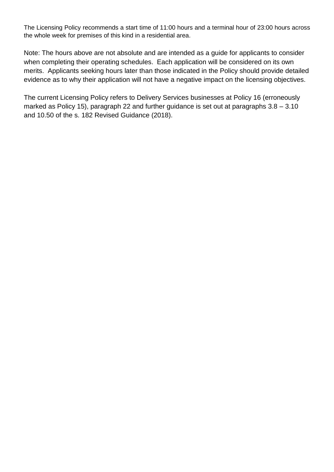The Licensing Policy recommends a start time of 11:00 hours and a terminal hour of 23:00 hours across the whole week for premises of this kind in a residential area.

Note: The hours above are not absolute and are intended as a guide for applicants to consider when completing their operating schedules. Each application will be considered on its own merits. Applicants seeking hours later than those indicated in the Policy should provide detailed evidence as to why their application will not have a negative impact on the licensing objectives.

The current Licensing Policy refers to Delivery Services businesses at Policy 16 (erroneously marked as Policy 15), paragraph 22 and further guidance is set out at paragraphs 3.8 – 3.10 and 10.50 of the s. 182 Revised Guidance (2018).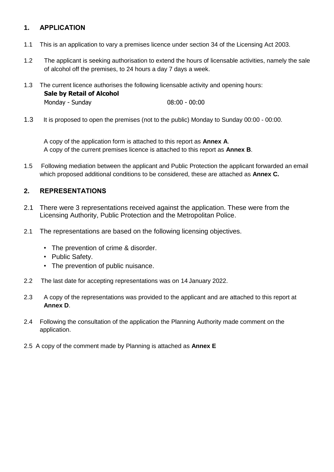## **1. APPLICATION**

- 1.1 This is an application to vary a premises licence under section 34 of the Licensing Act 2003.
- 1.2 The applicant is seeking authorisation to extend the hours of licensable activities, namely the sale of alcohol off the premises, to 24 hours a day 7 days a week.
- 1.3 The current licence authorises the following licensable activity and opening hours: **Sale by Retail of Alcohol** Monday - Sunday 08:00 - 00:00
- 1.3 It is proposed to open the premises (not to the public) Monday to Sunday 00:00 00:00.

A copy of the application form is attached to this report as **Annex A**. A copy of the current premises licence is attached to this report as **Annex B**.

1.5 Following mediation between the applicant and Public Protection the applicant forwarded an email which proposed additional conditions to be considered, these are attached as **Annex C.**

### **2. REPRESENTATIONS**

- 2.1 There were 3 representations received against the application. These were from the Licensing Authority, Public Protection and the Metropolitan Police.
- 2.1 The representations are based on the following licensing objectives.
	- The prevention of crime & disorder.
	- Public Safety.
	- The prevention of public nuisance.
- 2.2 The last date for accepting representations was on 14 January 2022.
- 2.3 A copy of the representations was provided to the applicant and are attached to this report at **Annex D**.
- 2.4 Following the consultation of the application the Planning Authority made comment on the application.
- 2.5 A copy of the comment made by Planning is attached as **Annex E**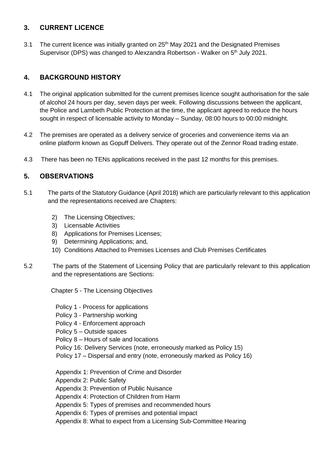### **3. CURRENT LICENCE**

3.1 The current licence was initially granted on 25<sup>th</sup> May 2021 and the Designated Premises Supervisor (DPS) was changed to Alexzandra Robertson - Walker on 5<sup>th</sup> July 2021.

## **4. BACKGROUND HISTORY**

- 4.1 The original application submitted for the current premises licence sought authorisation for the sale of alcohol 24 hours per day, seven days per week. Following discussions between the applicant, the Police and Lambeth Public Protection at the time, the applicant agreed to reduce the hours sought in respect of licensable activity to Monday – Sunday, 08:00 hours to 00:00 midnight.
- 4.2 The premises are operated as a delivery service of groceries and convenience items via an online platform known as Gopuff Delivers. They operate out of the Zennor Road trading estate.
- 4.3 There has been no TENs applications received in the past 12 months for this premises.

### **5. OBSERVATIONS**

- 5.1 The parts of the Statutory Guidance (April 2018) which are particularly relevant to this application and the representations received are Chapters:
	- 2) The Licensing Objectives;
	- 3) Licensable Activities
	- 8) Applications for Premises Licenses;
	- 9) Determining Applications; and,
	- 10) Conditions Attached to Premises Licenses and Club Premises Certificates
- 5.2 The parts of the Statement of Licensing Policy that are particularly relevant to this application and the representations are Sections:

Chapter 5 - The Licensing Objectives

- Policy 1 Process for applications
- Policy 3 Partnership working
- Policy 4 Enforcement approach
- Policy 5 Outside spaces
- Policy 8 Hours of sale and locations
- Policy 16: Delivery Services (note, erroneously marked as Policy 15)
- Policy 17 Dispersal and entry (note, erroneously marked as Policy 16)
- Appendix 1: Prevention of Crime and Disorder
- Appendix 2: Public Safety
- Appendix 3: Prevention of Public Nuisance
- Appendix 4: Protection of Children from Harm
- Appendix 5: Types of premises and recommended hours
- Appendix 6: Types of premises and potential impact
- Appendix 8: What to expect from a Licensing Sub-Committee Hearing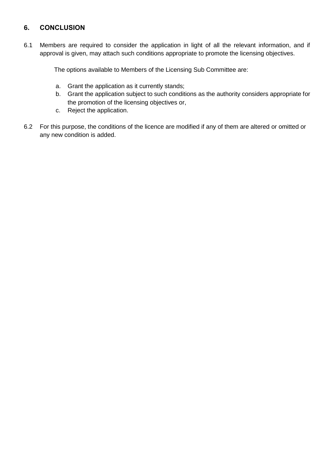# **6. CONCLUSION**

6.1 Members are required to consider the application in light of all the relevant information, and if approval is given, may attach such conditions appropriate to promote the licensing objectives.

The options available to Members of the Licensing Sub Committee are:

- a. Grant the application as it currently stands;
- b. Grant the application subject to such conditions as the authority considers appropriate for the promotion of the licensing objectives or,
- c. Reject the application.
- 6.2 For this purpose, the conditions of the licence are modified if any of them are altered or omitted or any new condition is added.